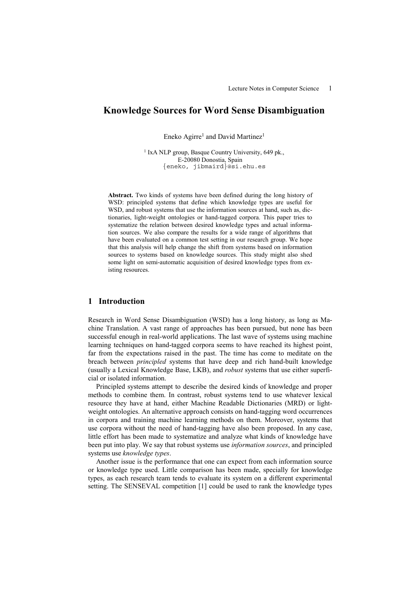# **Knowledge Sources for Word Sense Disambiguation**

Eneko Agirre<sup>1</sup> and David Martinez<sup>1</sup>

<sup>1</sup> IxA NLP group, Basque Country University, 649 pk., E-20080 Donostia, Spain {eneko, jibmaird}@si.ehu.es

**Abstract.** Two kinds of systems have been defined during the long history of WSD: principled systems that define which knowledge types are useful for WSD, and robust systems that use the information sources at hand, such as, dictionaries, light-weight ontologies or hand-tagged corpora. This paper tries to systematize the relation between desired knowledge types and actual information sources. We also compare the results for a wide range of algorithms that have been evaluated on a common test setting in our research group. We hope that this analysis will help change the shift from systems based on information sources to systems based on knowledge sources. This study might also shed some light on semi-automatic acquisition of desired knowledge types from existing resources.

### **1 Introduction**

Research in Word Sense Disambiguation (WSD) has a long history, as long as Machine Translation. A vast range of approaches has been pursued, but none has been successful enough in real-world applications. The last wave of systems using machine learning techniques on hand-tagged corpora seems to have reached its highest point, far from the expectations raised in the past. The time has come to meditate on the breach between *principled* systems that have deep and rich hand-built knowledge (usually a Lexical Knowledge Base, LKB), and *robust* systems that use either superficial or isolated information.

Principled systems attempt to describe the desired kinds of knowledge and proper methods to combine them. In contrast, robust systems tend to use whatever lexical resource they have at hand, either Machine Readable Dictionaries (MRD) or lightweight ontologies. An alternative approach consists on hand-tagging word occurrences in corpora and training machine learning methods on them. Moreover, systems that use corpora without the need of hand-tagging have also been proposed. In any case, little effort has been made to systematize and analyze what kinds of knowledge have been put into play. We say that robust systems use *information sources*, and principled systems use *knowledge types*.

Another issue is the performance that one can expect from each information source or knowledge type used. Little comparison has been made, specially for knowledge types, as each research team tends to evaluate its system on a different experimental setting. The SENSEVAL competition [1] could be used to rank the knowledge types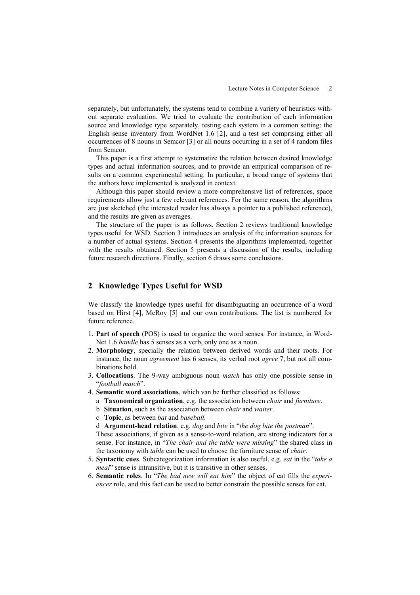separately, but unfortunately, the systems tend to combine a variety of heuristics without separate evaluation. We tried to evaluate the contribution of each information source and knowledge type separately, testing each system in a common setting: the English sense inventory from WordNet 1.6 [2], and a test set comprising either all occurrences of 8 nouns in Semcor [3] or all nouns occurring in a set of 4 random files from Semcor.

This paper is a first attempt to systematize the relation between desired knowledge types and actual information sources, and to provide an empirical comparison of results on a common experimental setting. In particular, a broad range of systems that the authors have implemented is analyzed in context.

Although this paper should review a more comprehensive list of references, space requirements allow just a few relevant references. For the same reason, the algorithms are just sketched (the interested reader has always a pointer to a published reference), and the results are given as averages.

The structure of the paper is as follows. Section 2 reviews traditional knowledge types useful for WSD. Section 3 introduces an analysis of the information sources for a number of actual systems. Section 4 presents the algorithms implemented, together with the results obtained. Section 5 presents a discussion of the results, including future research directions. Finally, section 6 draws some conclusions.

# **2 Knowledge Types Useful for WSD**

We classify the knowledge types useful for disambiguating an occurrence of a word based on Hirst [4], McRoy [5] and our own contributions. The list is numbered for future reference.

- 1. **Part of speech** (POS) is used to organize the word senses. For instance, in Word-Net 1.6 *handle* has 5 senses as a verb, only one as a noun.
- 2. **Morphology**, specially the relation between derived words and their roots. For instance, the noun *agreement* has 6 senses, its verbal root *agree* 7, but not all combinations hold.
- 3. **Collocations**. The 9-way ambiguous noun *match* has only one possible sense in "*football match*".
- 4. **Semantic word associations**, which van be further classified as follows:
	- a **Taxonomical organization**, e.g. the association between *chair* and *furniture*.
	- b **Situation**, such as the association between *chair* and *waiter*.
	- c **Topic**, as between *bat* and *baseball.*
	- d **Argument-head relation**, e.g. *dog* and *bite* in "*the dog bite the postman*".

These associations, if given as a sense-to-word relation, are strong indicators for a sense. For instance, in "*The chair and the table were missing*" the shared class in the taxonomy with *table* can be used to choose the furniture sense of *chair*.

- 5. **Syntactic cues**. Subcategorization information is also useful, e.g. *eat* in the "*take a meal*" sense is intransitive, but it is transitive in other senses.
- 6. **Semantic roles**. In "*The bad new will eat him*" the object of eat fills the *experiencer* role, and this fact can be used to better constrain the possible senses for eat.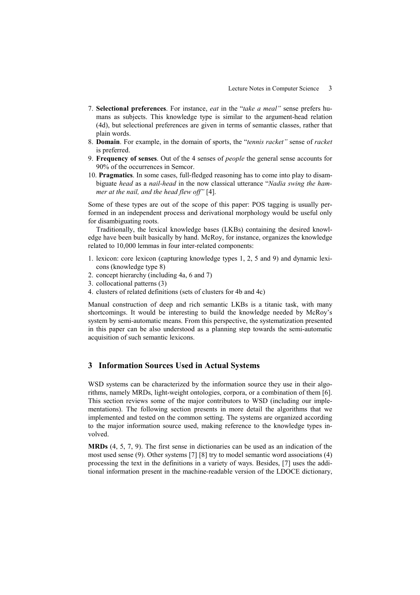- 7. **Selectional preferences**. For instance, *eat* in the "*take a meal"* sense prefers humans as subjects. This knowledge type is similar to the argument-head relation (4d), but selectional preferences are given in terms of semantic classes, rather that plain words.
- 8. **Domain**. For example, in the domain of sports, the "*tennis racket"* sense of *racket* is preferred.
- 9. **Frequency of senses**. Out of the 4 senses of *people* the general sense accounts for 90% of the occurrences in Semcor.
- 10. **Pragmatics**. In some cases, full-fledged reasoning has to come into play to disambiguate *head* as a *nail-head* in the now classical utterance "*Nadia swing the hammer at the nail, and the head flew off"* [4].

Some of these types are out of the scope of this paper: POS tagging is usually performed in an independent process and derivational morphology would be useful only for disambiguating roots.

Traditionally, the lexical knowledge bases (LKBs) containing the desired knowledge have been built basically by hand. McRoy, for instance, organizes the knowledge related to 10,000 lemmas in four inter-related components:

- 1. lexicon: core lexicon (capturing knowledge types 1, 2, 5 and 9) and dynamic lexicons (knowledge type 8)
- 2. concept hierarchy (including 4a, 6 and 7)
- 3. collocational patterns (3)
- 4. clusters of related definitions (sets of clusters for 4b and 4c)

Manual construction of deep and rich semantic LKBs is a titanic task, with many shortcomings. It would be interesting to build the knowledge needed by McRoy's system by semi-automatic means. From this perspective, the systematization presented in this paper can be also understood as a planning step towards the semi-automatic acquisition of such semantic lexicons.

### **3 Information Sources Used in Actual Systems**

WSD systems can be characterized by the information source they use in their algorithms, namely MRDs, light-weight ontologies, corpora, or a combination of them [6]. This section reviews some of the major contributors to WSD (including our implementations). The following section presents in more detail the algorithms that we implemented and tested on the common setting. The systems are organized according to the major information source used, making reference to the knowledge types involved.

**MRDs** (4, 5, 7, 9). The first sense in dictionaries can be used as an indication of the most used sense (9). Other systems [7] [8] try to model semantic word associations (4) processing the text in the definitions in a variety of ways. Besides, [7] uses the additional information present in the machine-readable version of the LDOCE dictionary,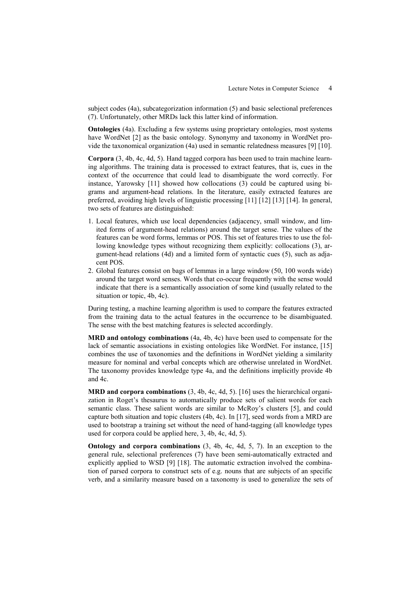subject codes (4a), subcategorization information (5) and basic selectional preferences (7). Unfortunately, other MRDs lack this latter kind of information.

**Ontologies** (4a). Excluding a few systems using proprietary ontologies, most systems have WordNet [2] as the basic ontology. Synonymy and taxonomy in WordNet provide the taxonomical organization (4a) used in semantic relatedness measures [9] [10].

**Corpora** (3, 4b, 4c, 4d, 5). Hand tagged corpora has been used to train machine learning algorithms. The training data is processed to extract features, that is, cues in the context of the occurrence that could lead to disambiguate the word correctly. For instance, Yarowsky [11] showed how collocations (3) could be captured using bigrams and argument-head relations. In the literature, easily extracted features are preferred, avoiding high levels of linguistic processing [11] [12] [13] [14]. In general, two sets of features are distinguished:

- 1. Local features, which use local dependencies (adjacency, small window, and limited forms of argument-head relations) around the target sense. The values of the features can be word forms, lemmas or POS. This set of features tries to use the following knowledge types without recognizing them explicitly: collocations (3), argument-head relations (4d) and a limited form of syntactic cues (5), such as adjacent POS.
- 2. Global features consist on bags of lemmas in a large window (50, 100 words wide) around the target word senses. Words that co-occur frequently with the sense would indicate that there is a semantically association of some kind (usually related to the situation or topic, 4b, 4c).

During testing, a machine learning algorithm is used to compare the features extracted from the training data to the actual features in the occurrence to be disambiguated. The sense with the best matching features is selected accordingly.

**MRD and ontology combinations** (4a, 4b, 4c) have been used to compensate for the lack of semantic associations in existing ontologies like WordNet. For instance, [15] combines the use of taxonomies and the definitions in WordNet yielding a similarity measure for nominal and verbal concepts which are otherwise unrelated in WordNet. The taxonomy provides knowledge type 4a, and the definitions implicitly provide 4b and 4c.

**MRD and corpora combinations** (3, 4b, 4c, 4d, 5). [16] uses the hierarchical organization in Roget's thesaurus to automatically produce sets of salient words for each semantic class. These salient words are similar to McRoy's clusters [5], and could capture both situation and topic clusters (4b, 4c). In [17], seed words from a MRD are used to bootstrap a training set without the need of hand-tagging (all knowledge types used for corpora could be applied here, 3, 4b, 4c, 4d, 5).

**Ontology and corpora combinations** (3, 4b, 4c, 4d, 5, 7). In an exception to the general rule, selectional preferences (7) have been semi-automatically extracted and explicitly applied to WSD [9] [18]. The automatic extraction involved the combination of parsed corpora to construct sets of e.g. nouns that are subjects of an specific verb, and a similarity measure based on a taxonomy is used to generalize the sets of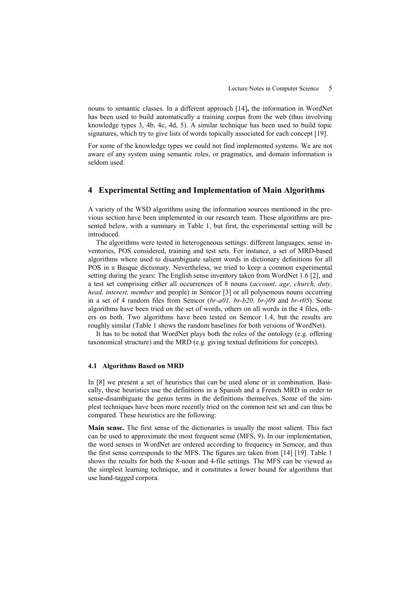nouns to semantic classes. In a different approach [14]**,** the information in WordNet has been used to build automatically a training corpus from the web (thus involving knowledge types 3, 4b, 4c, 4d, 5). A similar technique has been used to build topic signatures, which try to give lists of words topically associated for each concept [19].

For some of the knowledge types we could not find implemented systems. We are not aware of any system using semantic roles, or pragmatics, and domain information is seldom used.

# **4 Experimental Setting and Implementation of Main Algorithms**

A variety of the WSD algorithms using the information sources mentioned in the previous section have been implemented in our research team. These algorithms are presented below, with a summary in Table 1, but first, the experimental setting will be introduced.

The algorithms were tested in heterogeneous settings: different languages, sense inventories, POS considered, training and test sets. For instance, a set of MRD-based algorithms where used to disambiguate salient words in dictionary definitions for all POS in a Basque dictionary. Nevertheless, we tried to keep a common experimental setting during the years: The English sense inventory taken from WordNet 1.6 [2], and a test set comprising either all occurrences of 8 nouns (*account, age, church, duty, head, interest, member* and people) in Semcor [3] or all polysemous nouns occurring in a set of 4 random files from Semcor (*br-a01, br-b20, br-j09* and *br-r05*). Some algorithms have been tried on the set of words, others on all words in the 4 files, others on both. Two algorithms have been tested on Semcor 1.4, but the results are roughly similar (Table 1 shows the random baselines for both versions of WordNet).

It has to be noted that WordNet plays both the roles of the ontology (e.g. offering taxonomical structure) and the MRD (e.g. giving textual definitions for concepts).

#### **4.1 Algorithms Based on MRD**

In [8] we present a set of heuristics that can be used alone or in combination. Basically, these heuristics use the definitions in a Spanish and a French MRD in order to sense-disambiguate the genus terms in the definitions themselves. Some of the simplest techniques have been more recently tried on the common test set and can thus be compared. These heuristics are the following:

**Main sense.** The first sense of the dictionaries is usually the most salient. This fact can be used to approximate the most frequent sense (MFS, 9). In our implementation, the word senses in WordNet are ordered according to frequency in Semcor, and thus the first sense corresponds to the MFS. The figures are taken from [14] [19]. Table 1 shows the results for both the 8-noun and 4-file settings. The MFS can be viewed as the simplest learning technique, and it constitutes a lower bound for algorithms that use hand-tagged corpora.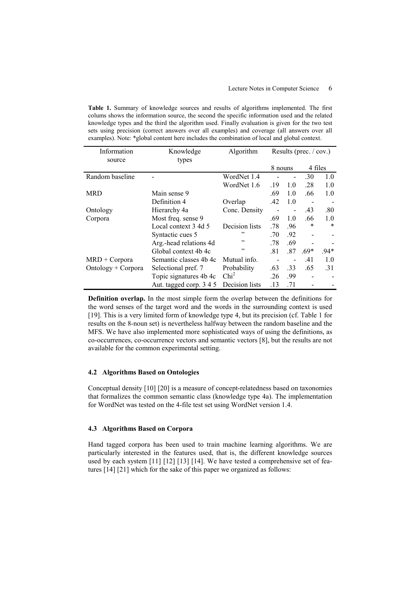**Table 1.** Summary of knowledge sources and results of algorithms implemented. The first colums shows the information source, the second the specific information used and the related knowledge types and the third the algorithm used. Finally evaluation is given for the two test sets using precision (correct answers over all examples) and coverage (all answers over all examples). Note: \*global content here includes the combination of local and global context.

| Information          | Knowledge               | Algorithm        | Results (prec. / cov.) |     |         |         |
|----------------------|-------------------------|------------------|------------------------|-----|---------|---------|
| source               | types                   |                  |                        |     |         |         |
|                      |                         |                  | 8 nouns                |     | 4 files |         |
| Random baseline      |                         | WordNet 1.4      |                        |     | .30     | 1.0     |
|                      |                         | WordNet 1.6      | .19                    | 1.0 | .28     | 1.0     |
| <b>MRD</b>           | Main sense 9            |                  | .69                    | 1.0 | .66     | 1.0     |
|                      | Definition 4            | Overlap          | .42                    | 1.0 |         |         |
| Ontology             | Hierarchy 4a            | Conc. Density    |                        |     | .43     | .80     |
| Corpora              | Most freq. sense 9      |                  | .69                    | 1.0 | .66     | 1.0     |
|                      | Local context 3 4d 5    | Decision lists   | .78                    | .96 | $\ast$  | $\star$ |
|                      | Syntactic cues 5        | , 2              | .70                    | .92 |         |         |
|                      | Arg.-head relations 4d  | , 2              | .78                    | .69 |         |         |
|                      | Global context 4b 4c    | , ,              | .81                    | .87 | $.69*$  | $.94*$  |
| $MRD + Corpora$      | Semantic classes 4b 4c  | Mutual info.     |                        |     | .41     | 1.0     |
| $Ontology + Corpora$ | Selectional pref. 7     | Probability      | .63                    | .33 | .65     | .31     |
|                      | Topic signatures 4b 4c  | Chi <sup>2</sup> | .26                    | .99 |         |         |
|                      | Aut. tagged corp. 3 4 5 | Decision lists   | .13                    | .71 |         |         |

**Definition overlap.** In the most simple form the overlap between the definitions for the word senses of the target word and the words in the surrounding context is used [19]. This is a very limited form of knowledge type 4, but its precision (cf. Table 1 for results on the 8-noun set) is nevertheless halfway between the random baseline and the MFS. We have also implemented more sophisticated ways of using the definitions, as co-occurrences, co-occurrence vectors and semantic vectors [8], but the results are not available for the common experimental setting.

#### **4.2 Algorithms Based on Ontologies**

Conceptual density [10] [20] is a measure of concept-relatedness based on taxonomies that formalizes the common semantic class (knowledge type 4a). The implementation for WordNet was tested on the 4-file test set using WordNet version 1.4.

### **4.3 Algorithms Based on Corpora**

Hand tagged corpora has been used to train machine learning algorithms. We are particularly interested in the features used, that is, the different knowledge sources used by each system [11] [12] [13] [14]. We have tested a comprehensive set of features [14] [21] which for the sake of this paper we organized as follows: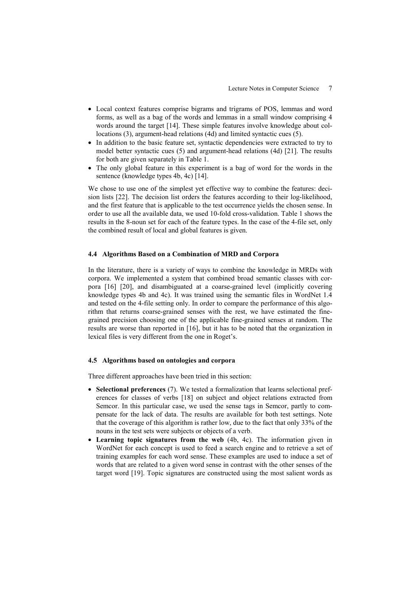- Local context features comprise bigrams and trigrams of POS, lemmas and word forms, as well as a bag of the words and lemmas in a small window comprising 4 words around the target [14]. These simple features involve knowledge about collocations (3), argument-head relations (4d) and limited syntactic cues (5).
- In addition to the basic feature set, syntactic dependencies were extracted to try to model better syntactic cues (5) and argument-head relations (4d) [21]. The results for both are given separately in Table 1.
- The only global feature in this experiment is a bag of word for the words in the sentence (knowledge types 4b, 4c) [14].

We chose to use one of the simplest yet effective way to combine the features: decision lists [22]. The decision list orders the features according to their log-likelihood, and the first feature that is applicable to the test occurrence yields the chosen sense. In order to use all the available data, we used 10-fold cross-validation. Table 1 shows the results in the 8-noun set for each of the feature types. In the case of the 4-file set, only the combined result of local and global features is given.

### **4.4 Algorithms Based on a Combination of MRD and Corpora**

In the literature, there is a variety of ways to combine the knowledge in MRDs with corpora. We implemented a system that combined broad semantic classes with corpora [16] [20], and disambiguated at a coarse-grained level (implicitly covering knowledge types 4b and 4c). It was trained using the semantic files in WordNet 1.4 and tested on the 4-file setting only. In order to compare the performance of this algorithm that returns coarse-grained senses with the rest, we have estimated the finegrained precision choosing one of the applicable fine-grained senses at random. The results are worse than reported in [16], but it has to be noted that the organization in lexical files is very different from the one in Roget's.

#### **4.5 Algorithms based on ontologies and corpora**

Three different approaches have been tried in this section:

- **Selectional preferences** (7). We tested a formalization that learns selectional preferences for classes of verbs [18] on subject and object relations extracted from Semcor. In this particular case, we used the sense tags in Semcor, partly to compensate for the lack of data. The results are available for both test settings. Note that the coverage of this algorithm is rather low, due to the fact that only 33% of the nouns in the test sets were subjects or objects of a verb.
- **Learning topic signatures from the web** (4b, 4c). The information given in WordNet for each concept is used to feed a search engine and to retrieve a set of training examples for each word sense. These examples are used to induce a set of words that are related to a given word sense in contrast with the other senses of the target word [19]. Topic signatures are constructed using the most salient words as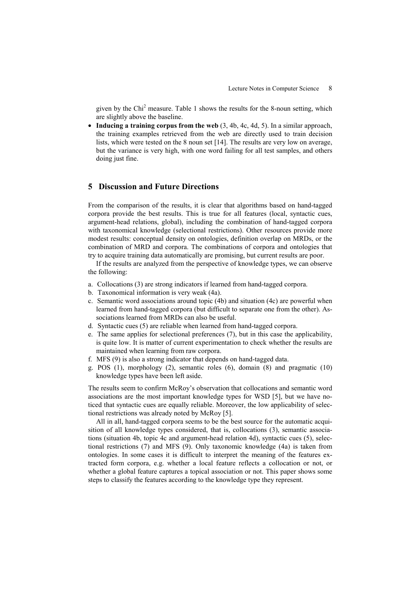given by the Chi<sup>2</sup> measure. Table 1 shows the results for the 8-noun setting, which are slightly above the baseline.

• **Inducing a training corpus from the web** (3, 4b, 4c, 4d, 5). In a similar approach, the training examples retrieved from the web are directly used to train decision lists, which were tested on the 8 noun set [14]. The results are very low on average, but the variance is very high, with one word failing for all test samples, and others doing just fine.

### **5 Discussion and Future Directions**

From the comparison of the results, it is clear that algorithms based on hand-tagged corpora provide the best results. This is true for all features (local, syntactic cues, argument-head relations, global), including the combination of hand-tagged corpora with taxonomical knowledge (selectional restrictions). Other resources provide more modest results: conceptual density on ontologies, definition overlap on MRDs, or the combination of MRD and corpora. The combinations of corpora and ontologies that try to acquire training data automatically are promising, but current results are poor.

If the results are analyzed from the perspective of knowledge types, we can observe the following:

- a. Collocations (3) are strong indicators if learned from hand-tagged corpora.
- b. Taxonomical information is very weak (4a).
- c. Semantic word associations around topic (4b) and situation (4c) are powerful when learned from hand-tagged corpora (but difficult to separate one from the other). Associations learned from MRDs can also be useful.
- d. Syntactic cues (5) are reliable when learned from hand-tagged corpora.
- e. The same applies for selectional preferences (7), but in this case the applicability, is quite low. It is matter of current experimentation to check whether the results are maintained when learning from raw corpora.
- f. MFS (9) is also a strong indicator that depends on hand-tagged data.
- g. POS (1), morphology (2), semantic roles (6), domain (8) and pragmatic (10) knowledge types have been left aside.

The results seem to confirm McRoy's observation that collocations and semantic word associations are the most important knowledge types for WSD [5], but we have noticed that syntactic cues are equally reliable. Moreover, the low applicability of selectional restrictions was already noted by McRoy [5].

All in all, hand-tagged corpora seems to be the best source for the automatic acquisition of all knowledge types considered, that is, collocations (3), semantic associations (situation 4b, topic 4c and argument-head relation 4d), syntactic cues (5), selectional restrictions (7) and MFS (9). Only taxonomic knowledge (4a) is taken from ontologies. In some cases it is difficult to interpret the meaning of the features extracted form corpora, e.g. whether a local feature reflects a collocation or not, or whether a global feature captures a topical association or not. This paper shows some steps to classify the features according to the knowledge type they represent.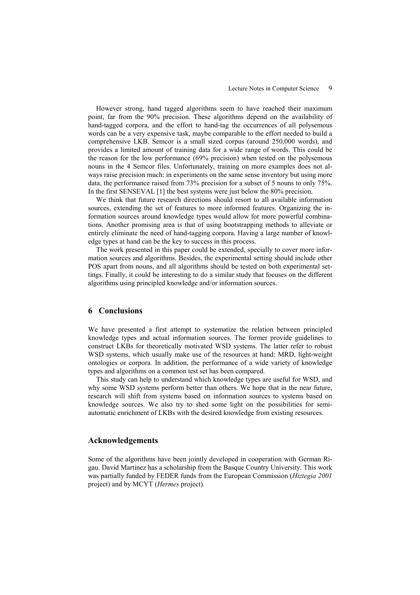However strong, hand tagged algorithms seem to have reached their maximum point, far from the 90% precision. These algorithms depend on the availability of hand-tagged corpora, and the effort to hand-tag the occurrences of all polysemous words can be a very expensive task, maybe comparable to the effort needed to build a comprehensive LKB. Semcor is a small sized corpus (around 250,000 words), and provides a limited amount of training data for a wide range of words. This could be the reason for the low performance (69% precision) when tested on the polysemous nouns in the 4 Semcor files. Unfortunately, training on more examples does not always raise precision much: in experiments on the same sense inventory but using more data, the performance raised from 73% precision for a subset of 5 nouns to only 75%. In the first SENSEVAL [1] the best systems were just below the 80% precision.

We think that future research directions should resort to all available information sources, extending the set of features to more informed features. Organizing the information sources around knowledge types would allow for more powerful combinations. Another promising area is that of using bootstrapping methods to alleviate or entirely eliminate the need of hand-tagging corpora. Having a large number of knowledge types at hand can be the key to success in this process.

The work presented in this paper could be extended, specially to cover more information sources and algorithms. Besides, the experimental setting should include other POS apart from nouns, and all algorithms should be tested on both experimental settings. Finally, it could be interesting to do a similar study that focuses on the different algorithms using principled knowledge and/or information sources.

### **6 Conclusions**

We have presented a first attempt to systematize the relation between principled knowledge types and actual information sources. The former provide guidelines to construct LKBs for theoretically motivated WSD systems. The latter refer to robust WSD systems, which usually make use of the resources at hand: MRD, light-weight ontologies or corpora. In addition, the performance of a wide variety of knowledge types and algorithms on a common test set has been compared.

This study can help to understand which knowledge types are useful for WSD, and why some WSD systems perform better than others. We hope that in the near future, research will shift from systems based on information sources to systems based on knowledge sources. We also try to shed some light on the possibilities for semiautomatic enrichment of LKBs with the desired knowledge from existing resources.

#### **Acknowledgements**

Some of the algorithms have been jointly developed in cooperation with German Rigau. David Martinez has a scholarship from the Basque Country University. This work was partially funded by FEDER funds from the European Commission (*Hiztegia 2001*  project) and by MCYT (*Hermes* project).